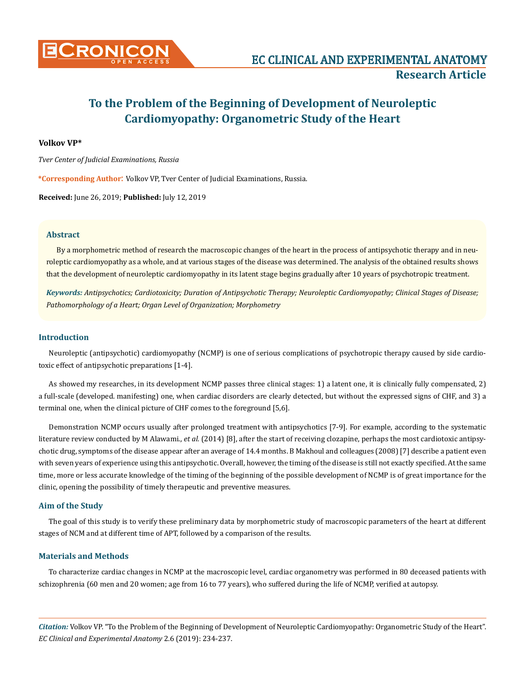

# **To the Problem of the Beginning of Development of Neuroleptic Cardiomyopathy: Organometric Study of the Heart**

# **Volkov VP\***

*Tver Center of Judicial Examinations, Russia*

**\*Corresponding Author**: Volkov VP, Tver Center of Judicial Examinations, Russia.

**Received:** June 26, 2019; **Published:** July 12, 2019

## **Abstract**

By a morphometric method of research the macroscopic changes of the heart in the process of antipsychotic therapy and in neuroleptic cardiomyopathy as a whole, and at various stages of the disease was determined. The analysis of the obtained results shows that the development of neuroleptic cardiomyopathy in its latent stage begins gradually after 10 years of psychotropic treatment.

*Keywords: Antipsychotics; Cardiotoxicity; Duration of Antipsychotic Therapy; Neuroleptic Cardiomyopathy; Clinical Stages of Disease; Pathomorphology of a Heart; Organ Level of Organization; Morphometry*

# **Introduction**

Neuroleptic (antipsychotic) cardiomyopathy (NCMP) is one of serious complications of psychotropic therapy caused by side cardiotoxic effect of antipsychotic preparations [1-4].

As showed my researches, in its development NCMP passes three clinical stages: 1) a latent one, it is clinically fully compensated, 2) a full-scale (developed. manifesting) one, when cardiac disorders are clearly detected, but without the expressed signs of CHF, and 3) a terminal one, when the clinical picture of CHF comes to the foreground [5,6].

Demonstration NCMP occurs usually after prolonged treatment with antipsychotics [7-9]. For example, according to the systematic literature review conducted by M Alawami., *et al.* (2014) [8], after the start of receiving clozapine, perhaps the most cardiotoxic antipsychotic drug, symptoms of the disease appear after an average of 14.4 months. B Makhoul and colleagues (2008) [7] describe a patient even with seven years of experience using this antipsychotic. Overall, however, the timing of the disease is still not exactly specified. At the same time, more or less accurate knowledge of the timing of the beginning of the possible development of NCMP is of great importance for the clinic, opening the possibility of timely therapeutic and preventive measures.

## **Aim of the Study**

The goal of this study is to verify these preliminary data by morphometric study of macroscopic parameters of the heart at different stages of NCM and at different time of APT, followed by a comparison of the results.

# **Materials and Methods**

To characterize cardiac changes in NCMP at the macroscopic level, cardiac organometry was performed in 80 deceased patients with schizophrenia (60 men and 20 women; age from 16 to 77 years), who suffered during the life of NCMP, verified at autopsy.

*Citation:* Volkov VP. "To the Problem of the Beginning of Development of Neuroleptic Cardiomyopathy: Organometric Study of the Heart". *EC Clinical and Experimental Anatomy* 2.6 (2019): 234-237.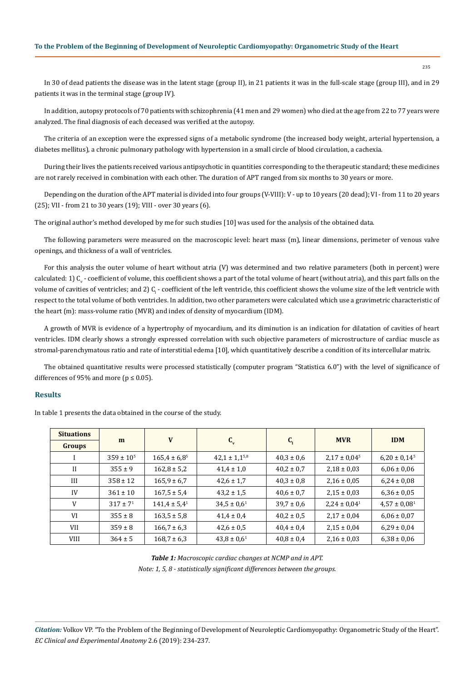235

In 30 of dead patients the disease was in the latent stage (group II), in 21 patients it was in the full-scale stage (group III), and in 29 patients it was in the terminal stage (group IV).

In addition, autopsy protocols of 70 patients with schizophrenia (41 men and 29 women) who died at the age from 22 to 77 years were analyzed. The final diagnosis of each deceased was verified at the autopsy.

The criteria of an exception were the expressed signs of a metabolic syndrome (the increased body weight, arterial hypertension, a diabetes mellitus), a chronic pulmonary pathology with hypertension in a small circle of blood circulation, a cachexia.

During their lives the patients received various antipsychotic in quantities corresponding to the therapeutic standard; these medicines are not rarely received in combination with each other. The duration of APT ranged from six months to 30 years or more.

Depending on the duration of the APT material is divided into four groups (V-VIII): V - up to 10 years (20 dead); VI - from 11 to 20 years (25); VII - from 21 to 30 years (19); VIII - over 30 years (6).

The original author's method developed by me for such studies [10] was used for the analysis of the obtained data.

The following parameters were measured on the macroscopic level: heart mass (m), linear dimensions, perimeter of venous valve openings, and thickness of a wall of ventricles.

For this analysis the outer volume of heart without atria (V) was determined and two relative parameters (both in percent) were calculated: 1)  ${\rm C_v}$  - coefficient of volume, this coefficient shows a part of the total volume of heart (without atria), and this part falls on the volume of cavities of ventricles; and 2)  $\mathbf{C_i}$  - coefficient of the left ventricle, this coefficient shows the volume size of the left ventricle with respect to the total volume of both ventricles. In addition, two other parameters were calculated which use a gravimetric characteristic of the heart (m): mass-volume ratio (MVR) and index of density of myocardium (IDM).

A growth of MVR is evidence of a hypertrophy of myocardium, and its diminution is an indication for dilatation of cavities of heart ventricles. IDM clearly shows a strongly expressed correlation with such objective parameters of microstructure of cardiac muscle as stromal-parenchymatous ratio and rate of interstitial edema [10], which quantitatively describe a condition of its intercellular matrix.

The obtained quantitative results were processed statistically (computer program "Statistica 6.0") with the level of significance of differences of 95% and more ( $p \le 0.05$ ).

# **Results**

In table 1 presents the data obtained in the course of the study.

| <b>Situations</b> | m                | V                 | $C_{v}$              | $C_{1}$        | <b>MVR</b>                   | <b>IDM</b>        |
|-------------------|------------------|-------------------|----------------------|----------------|------------------------------|-------------------|
| <b>Groups</b>     |                  |                   |                      |                |                              |                   |
|                   | $359 \pm 10^{5}$ | $165,4 \pm 6,8^5$ | $42,1 \pm 1,1^{5,8}$ | $40,3 \pm 0,6$ | $2,17 \pm 0,04^5$            | $6,20 \pm 0,14^5$ |
| $\mathbf{I}$      | $355 \pm 9$      | $162,8 \pm 5,2$   | $41,4 \pm 1,0$       | $40,2 \pm 0.7$ | $2,18 \pm 0,03$              | $6,06 \pm 0,06$   |
| III               | $358 \pm 12$     | $165,9 \pm 6,7$   | $42,6 \pm 1,7$       | $40,3 \pm 0.8$ | $2,16 \pm 0,05$              | $6,24 \pm 0,08$   |
| IV                | $361 \pm 10$     | $167.5 \pm 5.4$   | $43,2 \pm 1,5$       | $40,6 \pm 0.7$ | $2,15 \pm 0,03$              | $6,36 \pm 0,05$   |
| V                 | $317 \pm 7^1$    | $141,4 \pm 5,4^1$ | $34,5 \pm 0,6^1$     | $39,7 \pm 0.6$ | $2,24 \pm 0,04$ <sup>1</sup> | $4,57 \pm 0,08^1$ |
| VI                | $355 \pm 8$      | $163,5 \pm 5,8$   | $41,4 \pm 0,4$       | $40,2 \pm 0,5$ | $2,17 \pm 0,04$              | $6,06 \pm 0,07$   |
| <b>VII</b>        | $359 \pm 8$      | $166,7 \pm 6,3$   | $42,6 \pm 0.5$       | $40,4 \pm 0,4$ | $2,15 \pm 0,04$              | $6,29 \pm 0,04$   |
| <b>VIII</b>       | $364 \pm 5$      | $168,7 \pm 6,3$   | $43,8 \pm 0,6^1$     | $40,8 \pm 0,4$ | $2,16 \pm 0,03$              | $6,38 \pm 0,06$   |

*Table 1: Macroscopic cardiac changes at NCMP and in APT. Note: 1, 5, 8 - statistically significant differences between the groups.*

*Citation:* Volkov VP. "To the Problem of the Beginning of Development of Neuroleptic Cardiomyopathy: Organometric Study of the Heart". *EC Clinical and Experimental Anatomy* 2.6 (2019): 234-237.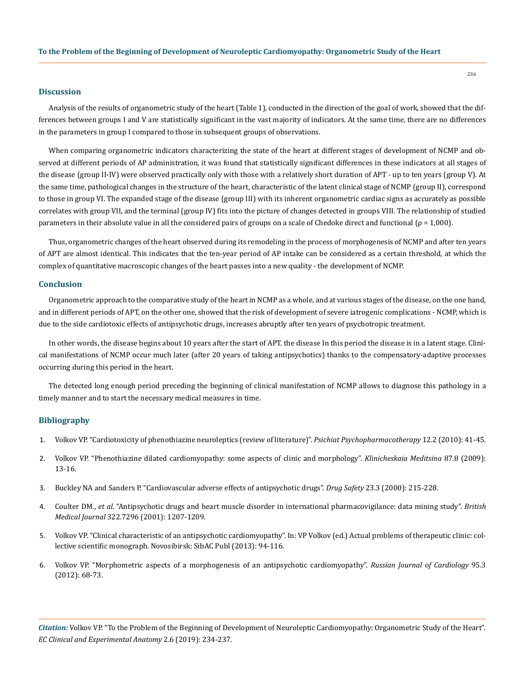#### **Discussion**

Analysis of the results of organometric study of the heart (Table 1), conducted in the direction of the goal of work, showed that the differences between groups I and V are statistically significant in the vast majority of indicators. At the same time, there are no differences in the parameters in group I compared to those in subsequent groups of observations.

When comparing organometric indicators characterizing the state of the heart at different stages of development of NCMP and observed at different periods of AP administration, it was found that statistically significant differences in these indicators at all stages of the disease (group II-IV) were observed practically only with those with a relatively short duration of APT - up to ten years (group V). At the same time, pathological changes in the structure of the heart, characteristic of the latent clinical stage of NCMP (group II), correspond to those in group VI. The expanded stage of the disease (group III) with its inherent organometric cardiac signs as accurately as possible correlates with group VII, and the terminal (group IV) fits into the picture of changes detected in groups VIII. The relationship of studied parameters in their absolute value in all the considered pairs of groups on a scale of Chedoke direct and functional (ρ = 1,000).

Thus, organometric changes of the heart observed during its remodeling in the process of morphogenesis of NCMP and after ten years of APT are almost identical. This indicates that the ten-year period of AP intake can be considered as a certain threshold, at which the complex of quantitative macroscopic changes of the heart passes into a new quality - the development of NCMP.

### **Conclusion**

Organometric approach to the comparative study of the heart in NCMP as a whole, and at various stages of the disease, on the one hand, and in different periods of APT, on the other one, showed that the risk of development of severe iatrogenic complications - NCMP, which is due to the side cardiotoxic effects of antipsychotic drugs, increases abruptly after ten years of psychotropic treatment.

In other words, the disease begins about 10 years after the start of APT. the disease In this period the disease is in a latent stage. Clinical manifestations of NCMP occur much later (after 20 years of taking antipsychotics) thanks to the compensatory-adaptive processes occurring during this period in the heart.

The detected long enough period preceding the beginning of clinical manifestation of NCMP allows to diagnose this pathology in a timely manner and to start the necessary medical measures in time.

## **Bibliography**

- 1. Volkov VP. "Cardiotoxicity of phenothiazine neuroleptics (review of literature)". *Psichiat Psychopharmacotherapy* 12.2 (2010): 41-45.
- 2. [Volkov VP. "Phenothiazine dilated cardiomyopathy: some aspects of clinic and morphology".](https://www.ncbi.nlm.nih.gov/pubmed/19827523) *Klinicheskaia Meditsina* 87.8 (2009): [13-16.](https://www.ncbi.nlm.nih.gov/pubmed/19827523)
- 3. [Buckley NA and Sanders P. "Cardiovascular adverse effects of antipsychotic drugs".](https://www.ncbi.nlm.nih.gov/pubmed/11005704) *Drug Safety* 23.3 (2000): 215-228.
- 4. Coulter DM., *et al*[. "Antipsychotic drugs and heart muscle disorder in international pharmacovigilance: data mining study".](https://www.ncbi.nlm.nih.gov/pubmed/11358771) *British Medical Journal* [322.7296 \(2001\): 1207-1209.](https://www.ncbi.nlm.nih.gov/pubmed/11358771)
- 5. Volkov VP. "Clinical characteristic of an antipsychotic cardiomyopathy". In: VP Volkov (ed.) Actual problems of therapeutic clinic: collective scientific monograph. Novosibirsk: SibAС Publ (2013): 94-116.
- 6. [Volkov VP. "Morphometric aspects of a morphogenesis of an antipsychotic cardiomyopathy".](https://www.researchgate.net/publication/289280594_Morphometric_aspects_of_neuroleptic_cardiomyopathy_morphogenesis) *Russian Journal of Cardiology* 95.3 [\(2012\): 68-73.](https://www.researchgate.net/publication/289280594_Morphometric_aspects_of_neuroleptic_cardiomyopathy_morphogenesis)

*Citation:* Volkov VP. "To the Problem of the Beginning of Development of Neuroleptic Cardiomyopathy: Organometric Study of the Heart". *EC Clinical and Experimental Anatomy* 2.6 (2019): 234-237.

236